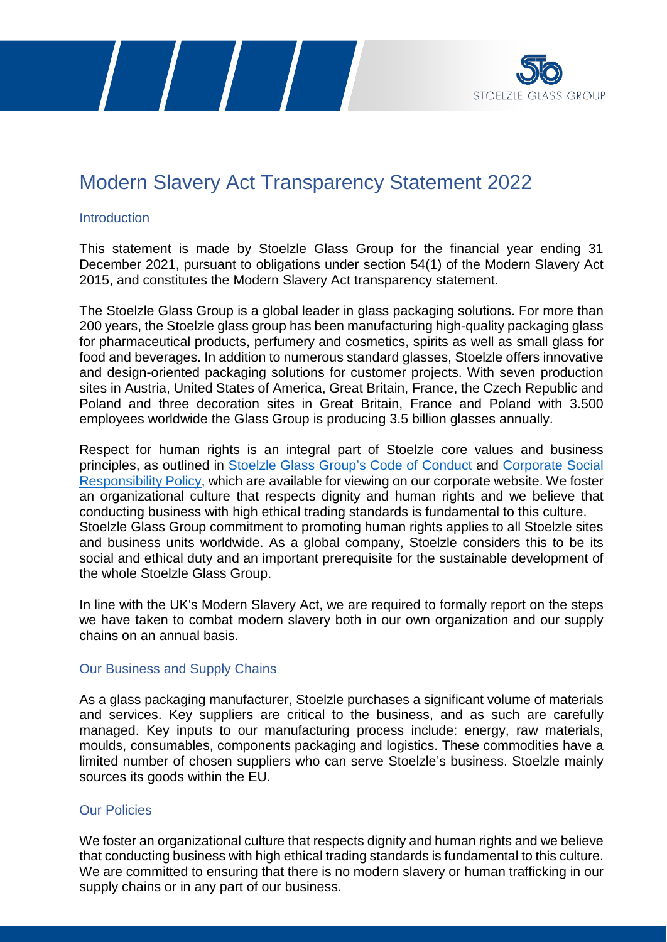



# Modern Slavery Act Transparency Statement 2022

## Introduction

This statement is made by Stoelzle Glass Group for the financial year ending 31 December 2021, pursuant to obligations under section 54(1) of the Modern Slavery Act 2015, and constitutes the Modern Slavery Act transparency statement.

The Stoelzle Glass Group is a global leader in glass packaging solutions. For more than 200 years, the Stoelzle glass group has been manufacturing high-quality packaging glass for pharmaceutical products, perfumery and cosmetics, spirits as well as small glass for food and beverages. In addition to numerous standard glasses, Stoelzle offers innovative and design-oriented packaging solutions for customer projects. With seven production sites in Austria, United States of America, Great Britain, France, the Czech Republic and Poland and three decoration sites in Great Britain, France and Poland with 3.500 employees worldwide the Glass Group is producing 3.5 billion glasses annually.

Respect for human rights is an integral part of Stoelzle core values and business principles, as outlined in Stoelzle [Glass Group's Code of Conduct](https://www.stoelzle.com/wp-content/uploads/2020/06/CodeofConduct_EN_web.pdf) and [Corporate Social](http://www.stoelzle.com/wp-content/uploads/2019/02/Corporate-Social-Responsibility-Policy_2018.pdf)  [Responsibility Policy,](http://www.stoelzle.com/wp-content/uploads/2019/02/Corporate-Social-Responsibility-Policy_2018.pdf) which are available for viewing on our corporate website. We foster an organizational culture that respects dignity and human rights and we believe that conducting business with high ethical trading standards is fundamental to this culture. Stoelzle Glass Group commitment to promoting human rights applies to all Stoelzle sites and business units worldwide. As a global company, Stoelzle considers this to be its social and ethical duty and an important prerequisite for the sustainable development of the whole Stoelzle Glass Group.

In line with the UK's Modern Slavery Act, we are required to formally report on the steps we have taken to combat modern slavery both in our own organization and our supply chains on an annual basis.

# Our Business and Supply Chains

As a glass packaging manufacturer, Stoelzle purchases a significant volume of materials and services. Key suppliers are critical to the business, and as such are carefully managed. Key inputs to our manufacturing process include: energy, raw materials, moulds, consumables, components packaging and logistics. These commodities have a limited number of chosen suppliers who can serve Stoelzle's business. Stoelzle mainly sources its goods within the EU.

# Our Policies

We foster an organizational culture that respects dignity and human rights and we believe that conducting business with high ethical trading standards is fundamental to this culture. We are committed to ensuring that there is no modern slavery or human trafficking in our supply chains or in any part of our business.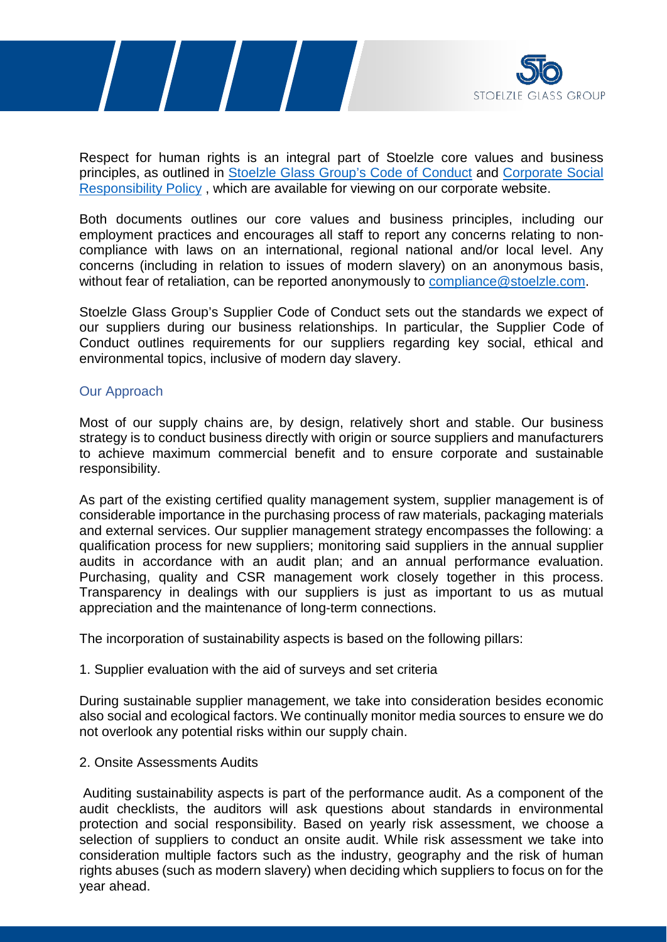



Respect for human rights is an integral part of Stoelzle core values and business principles, as outlined in Stoelzle [Glass Group's Code of Conduct](http://www.stoelzle.com/wp-content/uploads/2017/04/QM_code-of-conduct_EN.pdf) and [Corporate Social](http://www.stoelzle.com/wp-content/uploads/2019/02/Corporate-Social-Responsibility-Policy_2018.pdf)  [Responsibility Policy](http://www.stoelzle.com/wp-content/uploads/2019/02/Corporate-Social-Responsibility-Policy_2018.pdf) , which are available for viewing on our corporate website.

Both documents outlines our core values and business principles, including our employment practices and encourages all staff to report any concerns relating to noncompliance with laws on an international, regional national and/or local level. Any concerns (including in relation to issues of modern slavery) on an anonymous basis, without fear of retaliation, can be reported anonymously to compliance @stoelzle.com.

Stoelzle Glass Group's Supplier Code of Conduct sets out the standards we expect of our suppliers during our business relationships. In particular, the Supplier Code of Conduct outlines requirements for our suppliers regarding key social, ethical and environmental topics, inclusive of modern day slavery.

## Our Approach

Most of our supply chains are, by design, relatively short and stable. Our business strategy is to conduct business directly with origin or source suppliers and manufacturers to achieve maximum commercial benefit and to ensure corporate and sustainable responsibility.

As part of the existing certified quality management system, supplier management is of considerable importance in the purchasing process of raw materials, packaging materials and external services. Our supplier management strategy encompasses the following: a qualification process for new suppliers; monitoring said suppliers in the annual supplier audits in accordance with an audit plan; and an annual performance evaluation. Purchasing, quality and CSR management work closely together in this process. Transparency in dealings with our suppliers is just as important to us as mutual appreciation and the maintenance of long-term connections.

The incorporation of sustainability aspects is based on the following pillars:

#### 1. Supplier evaluation with the aid of surveys and set criteria

During sustainable supplier management, we take into consideration besides economic also social and ecological factors. We continually monitor media sources to ensure we do not overlook any potential risks within our supply chain.

#### 2. Onsite Assessments Audits

Auditing sustainability aspects is part of the performance audit. As a component of the audit checklists, the auditors will ask questions about standards in environmental protection and social responsibility. Based on yearly risk assessment, we choose a selection of suppliers to conduct an onsite audit. While risk assessment we take into consideration multiple factors such as the industry, geography and the risk of human rights abuses (such as modern slavery) when deciding which suppliers to focus on for the year ahead.